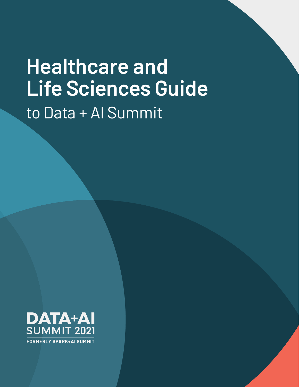# **Healthcare and Life Sciences Guide**  to Data + AI Summit

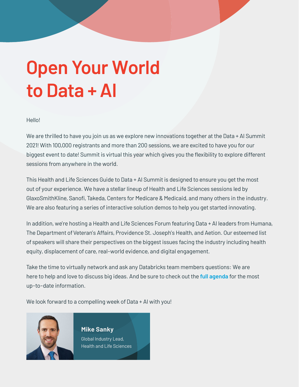# **Open Your World to Data + AI**

### Hello!

We are thrilled to have you join us as we explore new innovations together at the Data + AI Summit 2021! With 100,000 registrants and more than 200 sessions, we are excited to have you for our biggest event to date! Summit is virtual this year which gives you the flexibility to explore different sessions from anywhere in the world.

This Health and Life Sciences Guide to Data + AI Summit is designed to ensure you get the most out of your experience. We have a stellar lineup of Health and Life Sciences sessions led by GlaxoSmithKline, Sanofi, Takeda, Centers for Medicare & Medicaid, and many others in the industry. We are also featuring a series of interactive solution demos to help you get started innovating.

In addition, we're hosting a Health and Life Sciences Forum featuring Data + AI leaders from Humana, The Department of Veteran's Affairs, Providence St. Joseph's Health, and Aetion. Our esteemed list of speakers will share their perspectives on the biggest issues facing the industry including health equity, displacement of care, real-world evidence, and digital engagement.

Take the time to virtually network and ask any Databricks team members questions: We are here to help and love to discuss big ideas. And be sure to check out the **[full agenda](https://databricks.com/dataaisummit/north-america-2021)** for the most up-to-date information.

We look forward to a compelling week of Data + AI with you!



**Mike Sanky** Global Industry Lead, Health and Life Sciences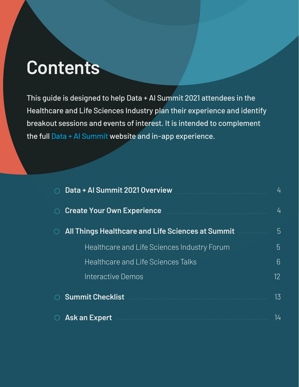## **Contents**

This guide is designed to help Data + AI Summit 2021 attendees in the Healthcare and Life Sciences Industry plan their experience and identify breakout sessions and events of interest. It is intended to complement the full [Data + AI Summit](https://databricks.com/dataaisummit/north-america-2021) website and in-app experience.

| Data + Al Summit 2021 Overview                                                                                       |    |  |  |  |  |  |
|----------------------------------------------------------------------------------------------------------------------|----|--|--|--|--|--|
| Create Your Own Experience <b>Create Your Own Experience</b>                                                         |    |  |  |  |  |  |
| <b>All Things Healthcare and Life Sciences at Summit Allian Fig. 1. Allian Fig. 1. Allian Fig. 1. Allian Fig. 1.</b> | 5  |  |  |  |  |  |
| Healthcare and Life Sciences Industry Forum                                                                          | 5  |  |  |  |  |  |
| <b>Healthcare and Life Sciences Talks</b>                                                                            | 6  |  |  |  |  |  |
| Interactive Demos                                                                                                    | 12 |  |  |  |  |  |
| <b>Summit Checklist</b>                                                                                              | 13 |  |  |  |  |  |
| <b>Ask an Expert</b>                                                                                                 | 14 |  |  |  |  |  |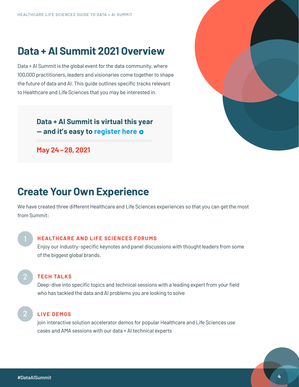### <span id="page-3-0"></span>**Data + AI Summit 2021 Overview**

Data + AI Summit is the global event for the data community, where 100,000 practitioners, leaders and visionaries come together to shape the future of data and AI. This guide outlines specific tracks relevant to Healthcare and Life Sciences that you may be interested in.

> **[Data + AI Summit is virtual this year](https://databricks.com/dataaisummit/north-america-2021)  — and it's easy to [register](https://databricks.com/dataaisummit/north-america-2021) here**

**May 24 –28, 2021**



### **Create Your Own Experience**

We have created three different Healthcare and Life Sciences experiences so that you can get the most from Summit:

### **HEALTHCARE AND LIFE SCIENCES FORUMS**

Enjoy our industry-specific keynotes and panel discussions with thought leaders from some of the biggest global brands.

2

### **TECH TALKS**

Deep-dive into specific topics and technical sessions with a leading expert from your field who has tackled the data and AI problems you are looking to solve

2

### **LIVE DEMOS**

join interactive solution accelerator demos for popular Healthcare and Life Sciences use cases and AMA sessions with our data + AI technical experts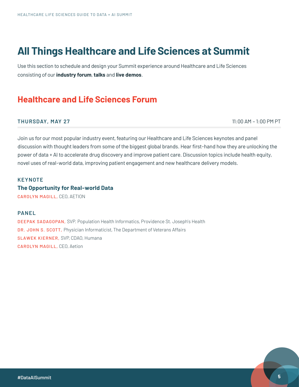### <span id="page-4-0"></span>**All Things Healthcare and Life Sciences at Summit**

Use this section to schedule and design your Summit experience around Healthcare and Life Sciences consisting of our **industry forum**, **talks** and **live demos**.

### **Healthcare and Life Sciences Forum**

#### **THURSDAY, MAY 27** 11:00 AM – 1:00 PM PT

Join us for our most popular industry event, featuring our Healthcare and Life Sciences keynotes and panel discussion with thought leaders from some of the biggest global brands. Hear first-hand how they are unlocking the power of data + AI to accelerate drug discovery and improve patient care. Discussion topics include health equity, novel uses of real-world data, improving patient engagement and new healthcare delivery models.

#### **KEYNOTE**

**The Opportunity for Real-world Data**

CAROLYN MAGILL, CEO, AETION

### **PANEL**

DEEPAK SADAGOPAN, SVP. Population Health Informatics, Providence St. Joseph's Health DR. JOHN S. SCOTT, Physician Informaticist, The Department of Veterans Affairs SLAWEK KIERNER, SVP, CDAO, Humana **CAROLYN MAGILL, CEO, Aetion**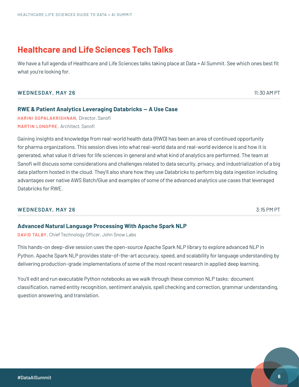<span id="page-5-0"></span>We have a full agenda of Healthcare and Life Sciences talks taking place at Data + AI Summit. See which ones best fit what you're looking for.

#### **WEDNESDAY, MAY 26** 11:30 AM PT

### **RWE & Patient Analytics Leveraging Databricks — A Use Case**

HARINI GOPALAKRISHNAN, Director, Sanofi MARTIN LONGPRE, Architect, Sanofi

Gaining insights and knowledge from real-world health data (RWD) has been an area of continued opportunity for pharma organizations. This session dives into what real-world data and real-world evidence is and how it is generated, what value it drives for life sciences in general and what kind of analytics are performed. The team at Sanofi will discuss some considerations and challenges related to data security, privacy, and industrialization of a big data platform hosted in the cloud. They'll also share how they use Databricks to perform big data ingestion including advantages over native AWS Batch/Glue and examples of some of the advanced analytics use cases that leveraged Databricks for RWE.

### WEDNESDAY, MAY 26 3:15 PM PT

### **Advanced Natural Language Processing With Apache Spark NLP**

DAVID TALBY, Chief Technology Officer, John Snow Labs

This hands-on deep-dive session uses the open-source Apache Spark NLP library to explore advanced NLP in Python. Apache Spark NLP provides state-of-the-art accuracy, speed, and scalability for language understanding by delivering production-grade implementations of some of the most recent research in applied deep learning.

You'll edit and run executable Python notebooks as we walk through these common NLP tasks: document classification, named entity recognition, sentiment analysis, spell checking and correction, grammar understanding, question answering, and translation.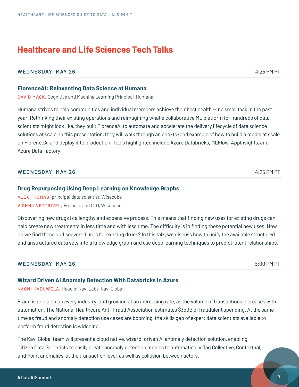### **WEDNESDAY, MAY 26 4:25 PM PT**

**FlorenceAI: Reinventing Data Science at Humana**

DAVID MACK, Cognitive and Machine Learning Principal, Humana

Humana strives to help communities and individual members achieve their best health — no small task in the past year! Rethinking their existing operations and reimagining what a collaborative ML platform for hundreds of data scientists might look like, they built FlorenceAI to automate and accelerate the delivery lifecycle of data science solutions at scale. In this presentation, they will walk through an end-to-end example of how to build a model at scale on FlorenceAI and deploy it to production. Tools highlighted include Azure Databricks, MLFlow, AppInsights, and Azure Data Factory.

### **WEDNESDAY, MAY 26 4:25 PM PT**

### **Drug Repurposing Using Deep Learning on Knowledge Graphs**

ALEX THOMAS, principal data scientist, Wisecube VISHNU VETTRIVEL, Founder and CTO, Wisecube

Discovering new drugs is a lengthy and expensive process. This means that finding new uses for existing drugs can help create new treatments in less time and with less time. The difficulty is in finding these potential new uses. How do we find these undiscovered uses for existing drugs? In this talk, we discuss how to unify the available structured and unstructured data sets into a knowledge graph and use deep learning techniques to predict latent relationships.

#### **WEDNESDAY, MAY 26** 5:00 PM PT

### **Wizard Driven AI Anomaly Detection With Databricks in Azure**

NAOMI KADUWELA, Head of Kavi Labs, Kavi Global

Fraud is prevalent in every industry, and growing at an increasing rate, as the volume of transactions increases with automation. The National Healthcare Anti-Fraud Association estimates \$350B of fraudulent spending. At the same time as fraud and anomaly detection use cases are booming, the skills gap of expert data scientists available to perform fraud detection is widening.

The Kavi Global team will present a cloud native, wizard-driven AI anomaly detection solution, enabling Citizen Data Scientists to easily create anomaly detection models to automatically flag Collective, Contextual, and Point anomalies, at the transaction level, as well as collusion between actors.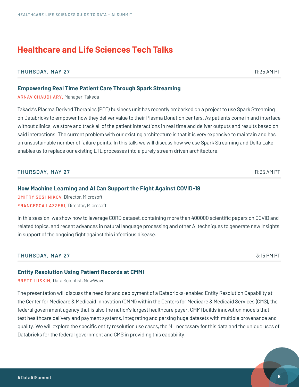### **THURSDAY, MAY 27** 11:35 AM PT

### **Empowering Real Time Patient Care Through Spark Streaming**

ARNAV CHAUDHARY, Manager, Takeda

Takada's Plasma Derived Therapies (PDT) business unit has recently embarked on a project to use Spark Streaming on Databricks to empower how they deliver value to their Plasma Donation centers. As patients come in and interface without clinics, we store and track all of the patient interactions in real time and deliver outputs and results based on said interactions. The current problem with our existing architecture is that it is very expensive to maintain and has an unsustainable number of failure points. In this talk, we will discuss how we use Spark Streaming and Delta Lake enables us to replace our existing ETL processes into a purely stream driven architecture.

### **THURSDAY, MAY 27** 11:35 AM PT

### **How Machine Learning and AI Can Support the Fight Against COVID-19**

DMITRY SOSHNIKOV, Director, Microsoft FRANCESCA LAZZERI, Director, Microsoft

In this session, we show how to leverage CORD dataset, containing more than 400000 scientific papers on COVID and related topics, and recent advances in natural language processing and other AI techniques to generate new insights in support of the ongoing fight against this infectious disease.

### **THURSDAY, MAY 27** 3:15 PM PT

### **Entity Resolution Using Patient Records at CMMI**

BRETT LUSKIN, Data Scientist, NewWave

The presentation will discuss the need for and deployment of a Databricks-enabled Entity Resolution Capability at the Center for Medicare & Medicaid Innovation (CMMI) within the Centers for Medicare & Medicaid Services (CMS), the federal government agency that is also the nation's largest healthcare payer. CMMI builds innovation models that test healthcare delivery and payment systems, integrating and parsing huge datasets with multiple provenance and quality. We will explore the specific entity resolution use cases, the ML necessary for this data and the unique uses of Databricks for the federal government and CMS in providing this capability.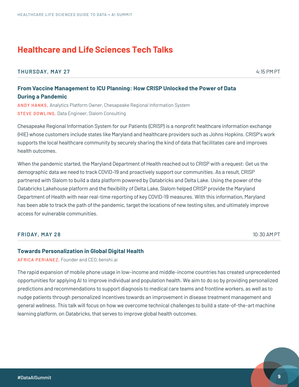**THURSDAY, MAY 27** 4:15 PM PT

### **From Vaccine Management to ICU Planning: How CRISP Unlocked the Power of Data During a Pandemic**

ANDY HANKS, Analytics Platform Owner, Chesapeake Regional Information System STEVE DOWLING, Data Engineer, Slalom Consulting

Chesapeake Regional Information System for our Patients (CRISP) is a nonprofit healthcare information exchange (HIE) whose customers include states like Maryland and healthcare providers such as Johns Hopkins. CRISP's work supports the local healthcare community by securely sharing the kind of data that facilitates care and improves health outcomes.

When the pandemic started, the Maryland Department of Health reached out to CRISP with a request: Get us the demographic data we need to track COVID-19 and proactively support our communities. As a result, CRISP partnered with Slalom to build a data platform powered by Databricks and Delta Lake. Using the power of the Databricks Lakehouse platform and the flexibility of Delta Lake, Slalom helped CRISP provide the Maryland Department of Health with near real-time reporting of key COVID-19 measures. With this information, Maryland has been able to track the path of the pandemic, target the locations of new testing sites, and ultimately improve access for vulnerable communities.

### **FRIDAY, MAY 28** 10:30 AM PT

#### **Towards Personalization in Global Digital Health**

AFRICA PERIANEZ, Founder and CEO, benshi.ai

The rapid expansion of mobile phone usage in low-income and middle-income countries has created unprecedented opportunities for applying AI to improve individual and population health. We aim to do so by providing personalized predictions and recommendations to support diagnosis to medical care teams and frontline workers, as well as to nudge patients through personalized incentives towards an improvement in disease treatment management and general wellness. This talk will focus on how we overcome technical challenges to build a state-of-the-art machine learning platform, on Databricks, that serves to improve global health outcomes.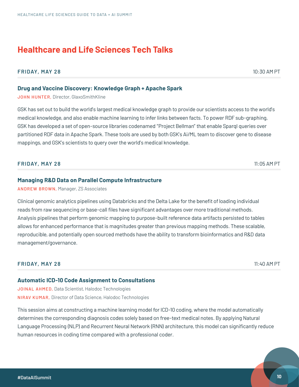### **FRIDAY, MAY 28** 10:30 AM PT

### **Drug and Vaccine Discovery: Knowledge Graph + Apache Spark**

JOHN HUNTER, Director, GlaxoSmithKline

GSK has set out to build the world's largest medical knowledge graph to provide our scientists access to the world's medical knowledge, and also enable machine learning to infer links between facts. To power RDF sub-graphing, GSK has developed a set of open-source libraries codenamed "Project Bellman" that enable Sparql queries over partitioned RDF data in Apache Spark. These tools are used by both GSK's Ai/ML team to discover gene to disease mappings, and GSK's scientists to query over the world's medical knowledge.

### **FRIDAY, MAY 28** 11:05 AM PT

### **Managing R&D Data on Parallel Compute Infrastructure**

ANDREW BROWN, Manager, ZS Associates

Clinical genomic analytics pipelines using Databricks and the Delta Lake for the benefit of loading individual reads from raw sequencing or base-call files have significant advantages over more traditional methods. Analysis pipelines that perform genomic mapping to purpose-built reference data artifacts persisted to tables allows for enhanced performance that is magnitudes greater than previous mapping methods. These scalable, reproducible, and potentially open sourced methods have the ability to transform bioinformatics and R&D data management/governance.

#### **FRIDAY, MAY 28** 11:40 AM PT

#### **Automatic ICD-10 Code Assignment to Consultations**

JOINAL AHMED, Data Scientist, Halodoc Technologies NIRAV KUMAR, Director of Data Science, Halodoc Technologies

This session aims at constructing a machine learning model for ICD-10 coding, where the model automatically determines the corresponding diagnosis codes solely based on free-text medical notes. By applying Natural Language Processing (NLP) and Recurrent Neural Network (RNN) architecture, this model can significantly reduce human resources in coding time compared with a professional coder.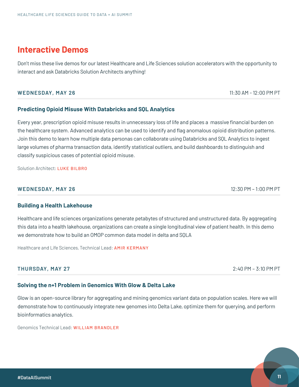### <span id="page-10-0"></span>**Interactive Demos**

Don't miss these live demos for our latest Healthcare and Life Sciences solution accelerators with the opportunity to interact and ask Databricks Solution Architects anything!

### **WEDNESDAY, MAY 26** 11:30 AM - 12:00 PM PT

### **Predicting Opioid Misuse With Databricks and SQL Analytics**

Every year, prescription opioid misuse results in unnecessary loss of life and places a massive financial burden on the healthcare system. Advanced analytics can be used to identify and flag anomalous opioid distribution patterns. Join this demo to learn how multiple data personas can collaborate using Databricks and SQL Analytics to ingest large volumes of pharma transaction data, identify statistical outliers, and build dashboards to distinguish and classify suspicious cases of potential opioid misuse.

Solution Architect: LUKE BILBRO

### **WEDNESDAY, MAY 26** 12:30 PM – 1:00 PM PT

### **Building a Health Lakehouse**

Healthcare and life sciences organizations generate petabytes of structured and unstructured data. By aggregating this data into a health lakehouse, organizations can create a single longitudinal view of patient health. In this demo we demonstrate how to build an OMOP common data model in delta and SQLA

Healthcare and Life Sciences, Technical Lead: AMIR KERMANY

### **THURSDAY, MAY 27** 2:40 PM – 3:10 PM PT

### **Solving the n+1 Problem in Genomics With Glow & Delta Lake**

Glow is an open-source library for aggregating and mining genomics variant data on population scales. Here we will demonstrate how to continuously integrate new genomes into Delta Lake, optimize them for querying, and perform bioinformatics analytics.

Genomics Technical Lead: WILLIAM BRANDLER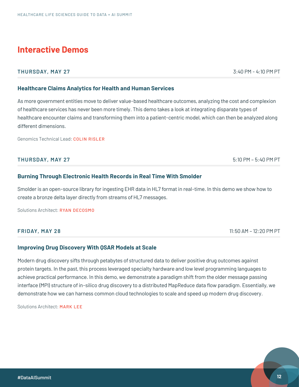### **Interactive Demos**

### **THURSDAY, MAY 27** 3:40 PM - 4:10 PM PT

### **Healthcare Claims Analytics for Health and Human Services**

As more government entities move to deliver value-based healthcare outcomes, analyzing the cost and complexion of healthcare services has never been more timely. This demo takes a look at integrating disparate types of healthcare encounter claims and transforming them into a patient-centric model, which can then be analyzed along different dimensions.

Genomics Technical Lead: COLIN RISLER

### **THURSDAY, MAY 27** 5:10 PM – 5:40 PM PT

### **Burning Through Electronic Health Records in Real Time With Smolder**

Smolder is an open-source library for ingesting EHR data in HL7 format in real-time. In this demo we show how to create a bronze delta layer directly from streams of HL7 messages.

Solutions Architect: RYAN DECOSMO

**FRIDAY, MAY 28** 11:50 AM – 12:20 PM PT

### **Improving Drug Discovery With QSAR Models at Scale**

Modern drug discovery sifts through petabytes of structured data to deliver positive drug outcomes against protein targets. In the past, this process leveraged specialty hardware and low level programming languages to achieve practical performance. In this demo, we demonstrate a paradigm shift from the older message passing interface (MPI) structure of in-silico drug discovery to a distributed MapReduce data flow paradigm. Essentially, we demonstrate how we can harness common cloud technologies to scale and speed up modern drug discovery.

Solutions Architect: MARK LEF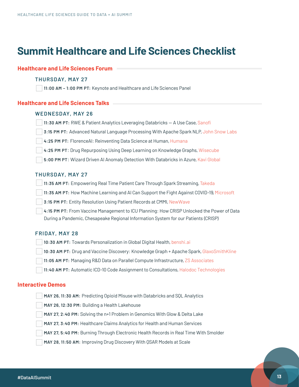### <span id="page-12-0"></span>**Summit Healthcare and Life Sciences Checklist**

### **Healthcare and Life Sciences Forum**

#### **THURSDAY, MAY 27**

**11:00 AM – 1:00 PM PT:** Keynote and Healthcare and Life Sciences Panel

#### **Healthcare and Life Sciences Talks**

#### **WEDNESDAY, MAY 26**

| 11:30 AM PT: RWE & Patient Analytics Leveraging Databricks - A Use Case, Sanofi |
|---------------------------------------------------------------------------------|
|---------------------------------------------------------------------------------|

- **3:15 PM PT:** Advanced Natural Language Processing With Apache Spark NLP, John Snow Labs
- **4:25 PM PT:** FlorenceAI: Reinventing Data Science at Human, Humana
- **4:25 PM PT**: Drug Repurposing Using Deep Learning on Knowledge Graphs, Wisecube
- **5:00 PM PT**: Wizard Driven AI Anomaly Detection With Databricks in Azure, Kavi Global

### **THURSDAY, MAY 27**

**11:35 AM PT:** Empowering Real Time Patient Care Through Spark Streaming, Takeda

- **11:35 AM PT:** How Machine Learning and AI Can Support the Fight Against COVID-19, Microsoft
- **3:15 PM PT:** Entity Resolution Using Patient Records at CMMI, NewWave
- **4:15 PM PT:** From Vaccine Management to ICU Planning: How CRISP Unlocked the Power of Data During a Pandemic, Chesapeake Regional Information System for our Patients (CRISP)

#### **FRIDAY, MAY 28**

|  |  |  | 10:30 AM PT: Towards Personalization in Global Digital Health, benshi.ai |  |  |  |
|--|--|--|--------------------------------------------------------------------------|--|--|--|
|--|--|--|--------------------------------------------------------------------------|--|--|--|

- **10:30 AM PT:** Drug and Vaccine Discovery: Knowledge Graph + Apache Spark, GlaxoSmithKline
- **11:05 AM PT:** Managing R&D Data on Parallel Compute Infrastructure, ZS Associates
- **11:40 AM PT:** Automatic ICD-10 Code Assignment to Consultations, Halodoc Technologies

### **Interactive Demos**

- **MAY 26, 11:30 AM:** Predicting Opioid Misuse with Databricks and SQL Analytics
- **MAY 26, 12:30 PM:** Building a Health Lakehouse
- **MAY 27, 2:40 PM:** Solving the n+1 Problem in Genomics With Glow & Delta Lake
- **MAY 27, 3:40 PM:** Healthcare Claims Analytics for Health and Human Services
- **MAY 27, 5:40 PM:** Burning Through Electronic Health Records in Real Time With Smolder
- **MAY 28, 11:50 AM:** Improving Drug Discovery With QSAR Models at Scale